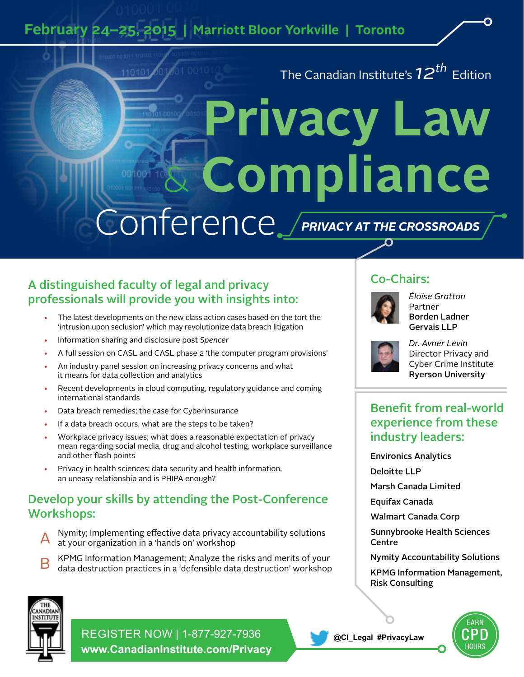**February 24–25, 2015 | Marriott Bloor Yorkville | Toronto**

The Canadian Institute's *12th* Edition

# **Privacy Law**  & **Compliance** Conference *PRIVACY AT THE CROSSROADS*

# A distinguished faculty of legal and privacy professionals will provide you with insights into:

- The latest developments on the new class action cases based on the tort the 'intrusion upon seclusion' which may revolutionize data breach litigation
- Information sharing and disclosure post *Spencer*
- A full session on CASL and CASL phase 2 'the computer program provisions'
- An industry panel session on increasing privacy concerns and what it means for data collection and analytics
- Recent developments in cloud computing, regulatory guidance and coming international standards
- Data breach remedies; the case for Cyberinsurance
- If a data breach occurs, what are the steps to be taken?
- Workplace privacy issues; what does a reasonable expectation of privacy mean regarding social media, drug and alcohol testing, workplace surveillance and other flash points
- Privacy in health sciences; data security and health information, an uneasy relationship and is PHIPA enough?

# Develop your skills by attending the Post-Conference Workshops:

- Nymity; Implementing effective data privacy accountability solutions at your organization in a 'hands on' workshop
- B KPMG Information Management; Analyze the risks and merits of your data destruction practices in a 'defensible data destruction' workshop

# Co-Chairs:



*Éloïse Gratton* Partner Borden Ladner Gervais LLP



*Dr. Avner Levin* Director Privacy and Cyber Crime Institute Ryerson University

# Benefit from real-world experience from these industry leaders:

Environics Analytics

Deloitte LLP

Marsh Canada Limited

Equifax Canada

Walmart Canada Corp

Sunnybrooke Health Sciences **Centre** 

Nymity Accountability Solutions

KPMG Information Management, Risk Consulting



REGISTER NOW | 1-877-927-7936 **www.CanadianInstitute.com/Privacy**



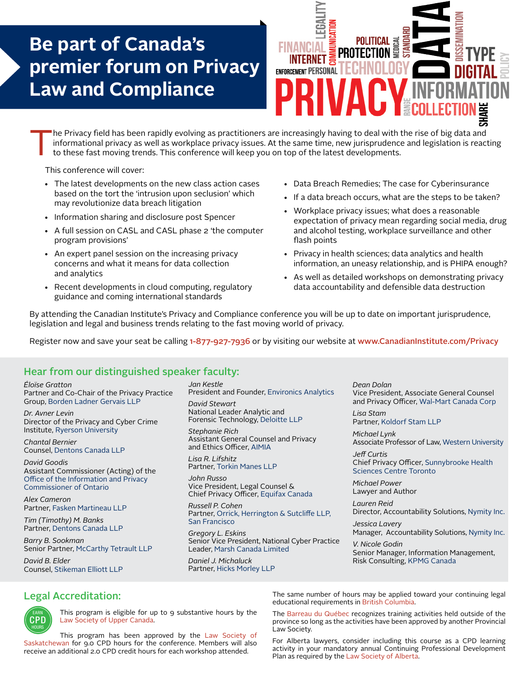# **Be part of Canada's premier forum on Privacy Law and Compliance**



The Privacy field has been rapidly evolving as practitioners are increasingly having to deal with the rise of big data and informational privacy as well as workplace privacy issues. At the same time, new jurisprudence and informational privacy as well as workplace privacy issues. At the same time, new jurisprudence and legislation is reacting to these fast moving trends. This conference will keep you on top of the latest developments.

This conference will cover:

- The latest developments on the new class action cases based on the tort the 'intrusion upon seclusion' which may revolutionize data breach litigation
- Information sharing and disclosure post Spencer
- A full session on CASL and CASL phase 2 'the computer program provisions'
- An expert panel session on the increasing privacy concerns and what it means for data collection and analytics
- Recent developments in cloud computing, regulatory guidance and coming international standards
- Data Breach Remedies; The case for Cyberinsurance
- If a data breach occurs, what are the steps to be taken?
- Workplace privacy issues; what does a reasonable expectation of privacy mean regarding social media, drug and alcohol testing, workplace surveillance and other flash points
- Privacy in health sciences; data analytics and health information, an uneasy relationship, and is PHIPA enough?
- As well as detailed workshops on demonstrating privacy data accountability and defensible data destruction

By attending the Canadian Institute's Privacy and Compliance conference you will be up to date on important jurisprudence, legislation and legal and business trends relating to the fast moving world of privacy.

Register now and save your seat be calling 1-877-927-7936 or by visiting our website at www.CanadianInstitute.com/Privacy

### Hear from our distinguished speaker faculty:

*ÉloÏse Gratton* Partner and Co-Chair of the Privacy Practice Group, Borden Ladner Gervais LLP

*Dr. Avner Levin* Director of the Privacy and Cyber Crime Institute, Ryerson University

*Chantal Bernier* Counsel, Dentons Canada LLP

*David Goodis*  Assistant Commissioner (Acting) of the Office of the Information and Privacy Commissioner of Ontario

*Alex Cameron* Partner, Fasken Martineau LLP

*Tim (Timothy) M. Banks* Partner, Dentons Canada LLP

*Barry B. Sookman* Senior Partner, McCarthy Tetrault LLP

*David B. Elder* Counsel, Stikeman Elliott LLP *Jan Kestle* President and Founder, Environics Analytics *David Stewart*

National Leader Analytic and Forensic Technology, Deloitte LLP

*Stephanie Rich* Assistant General Counsel and Privacy and Ethics Officer, AIMIA

*Lisa R. Lifshitz* Partner, Torkin Manes LLP

*John Russo* Vice President, Legal Counsel & Chief Privacy Officer, Equifax Canada

*Russell P. Cohen* Partner, Orrick, Herrington & Sutcliffe LLP, San Francisco

*Gregory L. Eskins* Senior Vice President, National Cyber Practice Leader, Marsh Canada Limited

*Daniel J. Michaluck* Partner, Hicks Morley LLP *Dean Dolan* Vice President, Associate General Counsel and Privacy Officer, Wal-Mart Canada Corp

*Lisa Stam* Partner, Koldorf Stam LLP

*Michael Lynk* Associate Professor of Law, Western University

*Jeff Curtis* Chief Privacy Officer, Sunnybrooke Health Sciences Centre Toronto

*Michael Power* Lawyer and Author

*Lauren Reid* Director, Accountability Solutions, Nymity Inc.

*Jessica Lavery* Manager, Accountability Solutions, Nymity Inc.

*V. Nicole Godin* Senior Manager, Information Management, Risk Consulting, KPMG Canada

## Legal Accreditation:



This program is eligible for up to 9 substantive hours by the Law Society of Upper Canada.

This program has been approved by the Law Society of Saskatchewan for 9.0 CPD hours for the conference. Members will also receive an additional 2.0 CPD credit hours for each workshop attended.

The same number of hours may be applied toward your continuing legal educational requirements in British Columbia.

The Barreau du Québec recognizes training activities held outside of the province so long as the activities have been approved by another Provincial Law Society.

For Alberta lawyers, consider including this course as a CPD learning activity in your mandatory annual Continuing Professional Development Plan as required by the Law Society of Alberta.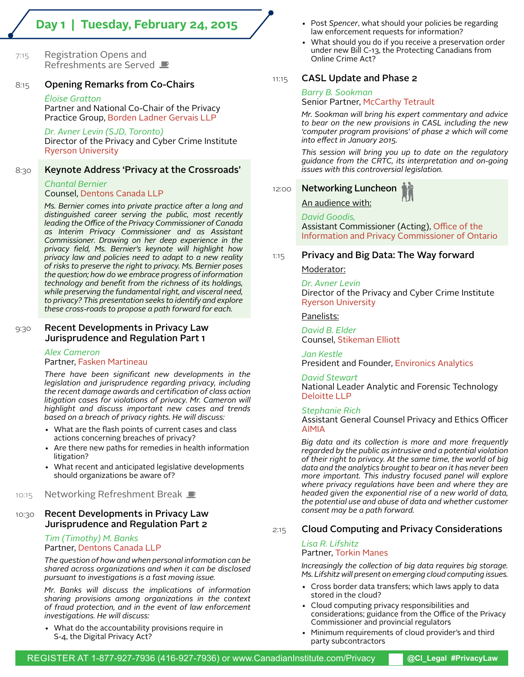# **Day 1 | Tuesday, February 24, 2015**

7:15 Registration Opens and Refreshments are Served

#### 8:15 Opening Remarks from Co-Chairs

#### *Éloïse Gratton*

Partner and National Co-Chair of the Privacy Practice Group, Borden Ladner Gervais LLP

*Dr. Avner Levin (SJD, Toronto)* Director of the Privacy and Cyber Crime Institute Ryerson University

#### 8:30 Keynote Address 'Privacy at the Crossroads'

# *Chantal Bernier*

#### Counsel, Dentons Canada LLP

*Ms. Bernier comes into private practice after a long and distinguished career serving the public, most recently leading the Office of the Privacy Commissioner of Canada as Interim Privacy Commissioner and as Assistant Commissioner. Drawing on her deep experience in the privacy field, Ms. Bernier's keynote will highlight how privacy law and policies need to adapt to a new reality of risks to preserve the right to privacy. Ms. Bernier poses the question; how do we embrace progress of information technology and benefit from the richness of its holdings, while preserving the fundamental right, and visceral need, to privacy? This presentation seeks to identify and explore these cross-roads to propose a path forward for each.*

#### 9:30 Recent Developments in Privacy Law Jurisprudence and Regulation Part 1

*Alex Cameron* Partner, Fasken Martineau

*There have been significant new developments in the legislation and jurisprudence regarding privacy, including the recent damage awards and certification of class action litigation cases for violations of privacy. Mr. Cameron will highlight and discuss important new cases and trends based on a breach of privacy rights. He will discuss:*

- What are the flash points of current cases and class actions concerning breaches of privacy?
- Are there new paths for remedies in health information litigation?
- What recent and anticipated legislative developments should organizations be aware of?

#### 10:15 Networking Refreshment Break

#### 10:30 Recent Developments in Privacy Law Jurisprudence and Regulation Part 2

#### *Tim (Timothy) M. Banks* Partner, Dentons Canada LLP

*The question of how and when personal information can be shared across organizations and when it can be disclosed pursuant to investigations is a fast moving issue.*

*Mr. Banks will discuss the implications of information sharing provisions among organizations in the context of fraud protection, and in the event of law enforcement investigations. He will discuss:*

• What do the accountability provisions require in S-4, the Digital Privacy Act?

- Post *Spencer*, what should your policies be regarding law enforcement requests for information?
- What should you do if you receive a preservation order under new Bill C-13, the Protecting Canadians from Online Crime Act?

#### 11:15 **CASL Update and Phase 2**

#### *Barry B. Sookman*

Senior Partner, McCarthy Tetrault

*Mr. Sookman will bring his expert commentary and advice to bear on the new provisions in CASL including the new 'computer program provisions' of phase 2 which will come into effect in January 2015.* 

*This session will bring you up to date on the regulatory guidance from the CRTC, its interpretation and on-going issues with this controversial legislation.*

#### 12:00 Networking Luncheon

An audience with:

*David Goodis,*

Assistant Commissioner (Acting), Office of the Information and Privacy Commissioner of Ontario

#### $1:15$  Privacy and Big Data: The Way forward

#### Moderator:

*Dr. Avner Levin* Director of the Privacy and Cyber Crime Institute Ryerson University

Panelists:

*David B. Elder* Counsel, Stikeman Elliott

*Jan Kestle*

President and Founder, Environics Analytics

#### *David Stewart*

National Leader Analytic and Forensic Technology Deloitte LLP

#### *Stephanie Rich*

Assistant General Counsel Privacy and Ethics Officer AIMIA

*Big data and its collection is more and more frequently regarded by the public as intrusive and a potential violation of their right to privacy. At the same time, the world of big data and the analytics brought to bear on it has never been more important. This industry focused panel will explore where privacy regulations have been and where they are headed given the exponential rise of a new world of data, the potential use and abuse of data and whether customer consent may be a path forward.*

#### 2:15 Cloud Computing and Privacy Considerations

#### *Lisa R. Lifshitz* Partner, Torkin Manes

*Increasingly the collection of big data requires big storage. Ms. Lifshitz will present on emerging cloud computing issues.*

- Cross border data transfers; which laws apply to data stored in the cloud?
- Cloud computing privacy responsibilities and considerations; guidance from the Office of the Privacy Commissioner and provincial regulators
- Minimum requirements of cloud provider's and third party subcontractors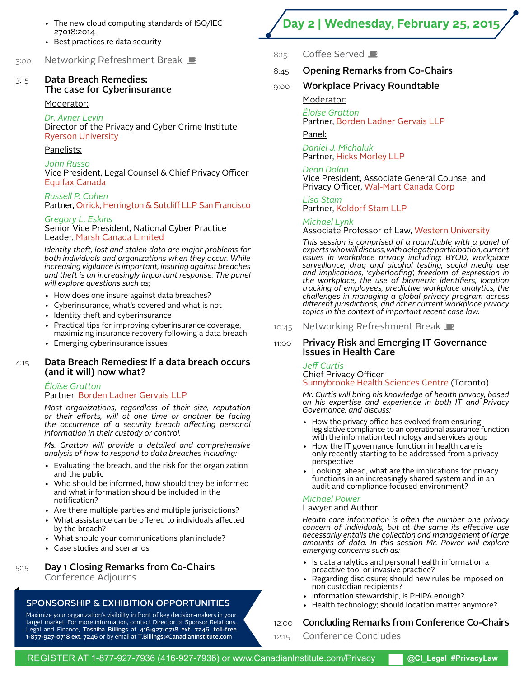- The new cloud computing standards of ISO/IEC 27018:2014
- Best practices re data security

3:00 Networking Refreshment Break

#### 3:15 Data Breach Remedies: The case for Cyberinsurance

#### Moderator:

*Dr. Avner Levin* Director of the Privacy and Cyber Crime Institute Ryerson University

#### Panelists:

#### *John Russo*

Vice President, Legal Counsel & Chief Privacy Officer Equifax Canada

*Russell P. Cohen* Partner, Orrick, Herrington & Sutcliff LLP San Francisco

#### *Gregory L. Eskins*

Senior Vice President, National Cyber Practice Leader, Marsh Canada Limited

*Identity theft, lost and stolen data are major problems for both individuals and organizations when they occur. While increasing vigilance is important, insuring against breaches and theft is an increasingly important response. The panel will explore questions such as;*

- How does one insure against data breaches?
- Cyberinsurance, what's covered and what is not
- Identity theft and cyberinsurance
- Practical tips for improving cyberinsurance coverage, maximizing insurance recovery following a data breach
- Emerging cyberinsurance issues

#### 4:15 Data Breach Remedies: If a data breach occurs (and it will) now what?

#### *Éloïse Gratton*

#### Partner, Borden Ladner Gervais LLP

*Most organizations, regardless of their size, reputation or their efforts, will at one time or another be facing the occurrence of a security breach affecting personal information in their custody or control.*

*Ms. Gratton will provide a detailed and comprehensive analysis of how to respond to data breaches including:*

- Evaluating the breach, and the risk for the organization and the public
- Who should be informed, how should they be informed and what information should be included in the notification?
- Are there multiple parties and multiple jurisdictions?
- What assistance can be offered to individuals affected by the breach?
- What should your communications plan include?
- Case studies and scenarios

Conference Adjourns

5:15 Day 1 Closing Remarks from Co-Chairs

SPONSORSHIP & EXHIBITION OPPORTUNITIES Maximize your organization's visibility in front of key decision-makers in your target market. For more information, contact Director of Sponsor Relations,

- 8:15 Coffee Served ■
- 8:45 Opening Remarks from Co-Chairs
- 9:00 Workplace Privacy Roundtable

#### Moderator:

*Éloïse Gratton* Partner, Borden Ladner Gervais LLP

**Day 2 | Wednesday, February 25, 2015**

#### Panel:

*Daniel J. Michaluk* Partner, Hicks Morley LLP

*Dean Dolan* Vice President, Associate General Counsel and Privacy Officer, Wal-Mart Canada Corp

*Lisa Stam* Partner, Koldorf Stam LLP

#### *Michael Lynk*

Associate Professor of Law, Western University

*This session is comprised of a roundtable with a panel of experts who will discuss, with delegate participation, current issues in workplace privacy including; BYOD, workplace surveillance, drug and alcohol testing, social media use and implications, 'cyberloafing', freedom of expression in the workplace, the use of biometric identifiers, location tracking of employees, predictive workplace analytics, the challenges in managing a global privacy program across different jurisdictions, and other current workplace privacy topics in the context of important recent case law.*

#### 10:45 Networking Refreshment Break

#### 11:00 Privacy Risk and Emerging IT Governance Issues in Health Care

*Jeff Curtis* Chief Privacy Officer Sunnybrooke Health Sciences Centre (Toronto)

*Mr. Curtis will bring his knowledge of health privacy, based on his expertise and experience in both IT and Privacy Governance, and discuss;*

- How the privacy office has evolved from ensuring legislative compliance to an operational assurance function with the information technology and services group
- How the IT governance function in health care is only recently starting to be addressed from a privacy perspective
- Looking ahead, what are the implications for privacy functions in an increasingly shared system and in an audit and compliance focused environment?

#### *Michael Power*

#### Lawyer and Author

*Health care information is often the number one privacy concern of individuals, but at the same its effective use necessarily entails the collection and management of large amounts of data. In this session Mr. Power will explore emerging concerns such as:*

- Is data analytics and personal health information a proactive tool or invasive practice?
- Regarding disclosure; should new rules be imposed on non custodian recipients?
- Information stewardship, is PHIPA enough?
- Health technology; should location matter anymore?

#### 12:00 **Concluding Remarks from Conference Co-Chairs**

12:15 Conference Concludes Legal and Finance, Toshiba Billings at 416-927-0718 ext. 7246, toll-free 1-877-927-0718 ext. 7246 or by email at T.Billings@CanadianInstitute.com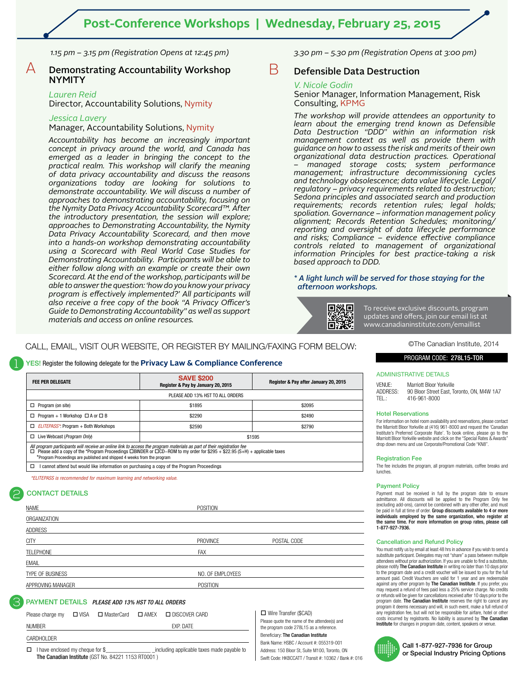*1.15 pm – 3.15 pm (Registration Opens at 12:45 pm)*

#### $\overline{\mathsf{A}}$  Demonstrating Accountability Workshop NYMITY

#### *Lauren Reid*

1

2

Director, Accountability Solutions, Nymity

#### *Jessica Lavery*

Manager, Accountability Solutions, Nymity

*Accountability has become an increasingly important concept in privacy around the world, and Canada has emerged as a leader in bringing the concept to the practical realm. This workshop will clarify the meaning of data privacy accountability and discuss the reasons organizations today are looking for solutions to demonstrate accountability. We will discuss a number of approaches to demonstrating accountability, focusing on the Nymity Data Privacy Accountability Scorecard™. After the introductory presentation, the session will explore; approaches to Demonstrating Accountability, the Nymity Data Privacy Accountability Scorecard, and then move into a hands-on workshop demonstrating accountability using a Scorecard with Real World Case Studies for Demonstrating Accountability. Participants will be able to either follow along with an example or create their own Scorecard. At the end of the workshop, participants will be able to answer the question: 'how do you know your privacy program is effectively implemented?' All participants will also receive a free copy of the book "A Privacy Officer's Guide to Demonstrating Accountability" as well as support materials and access on online resources.*

*3.30 pm – 5.30 pm (Registration Opens at 3:00 pm)*

#### $\mathbf B$  Defensible Data Destruction

#### *V. Nicole Godin*

Senior Manager, Information Management, Risk Consulting, KPMG

*The workshop will provide attendees an opportunity to learn about the emerging trend known as Defensible Data Destruction "DDD" within an information risk management context as well as provide them with guidance on how to assess the risk and merits of their own organizational data destruction practices. Operational – managed storage costs; system performance management; infrastructure decommissioning cycles and technology obsolescence; data value lifecycle. Legal/ regulatory – privacy requirements related to destruction; Sedona principles and associated search and production requirements; records retention rules; legal holds; spoliation. Governance – information management policy alignment; Records Retention Schedules; monitoring/ reporting and oversight of data lifecycle performance and risks; Compliance – evidence effective compliance controls related to management of organizational information Principles for best practice-taking a risk based approach to DDD.*

*\* A light lunch will be served for those staying for the afternoon workshops.*

回線回 n

To receive exclusive discounts, program updates and offers, join our email list at www.canadianinstitute.com/emaillist

#### CALL, EMAIL, VISIT OUR WEBSITE, OR REGISTER BY MAILING/FAXING FORM BELOW:

#### YES! Register the following delegate for the **Privacy Law & Compliance Conference**

| <b>FEE PER DELEGATE</b>                                                                                                                                                                           | <b>SAVE \$200</b><br>Register & Pay by January 20, 2015                                                                               | Register & Pay after January 20, 2015 |  |
|---------------------------------------------------------------------------------------------------------------------------------------------------------------------------------------------------|---------------------------------------------------------------------------------------------------------------------------------------|---------------------------------------|--|
|                                                                                                                                                                                                   | PLEASE ADD 13% HST TO ALL ORDERS                                                                                                      |                                       |  |
| $\Box$ Program (on site)                                                                                                                                                                          | \$1895                                                                                                                                | \$2095                                |  |
| $\Box$ Program + 1 Workshop $\Box$ A or $\Box$ B                                                                                                                                                  | \$2290                                                                                                                                | \$2490                                |  |
| $\Box$ <i>ELITEPASS</i> <sup>*</sup> : Program + Both Workshops                                                                                                                                   | \$2590                                                                                                                                | \$2790                                |  |
| □ Live Webcast ( <i>Program Only</i> )                                                                                                                                                            | \$1595                                                                                                                                |                                       |  |
| All program participants will receive an online link to access the program materials as part of their registration fee<br>*Program Proceedings are published and shipped 4 weeks from the program | Please add a copy of the *Program Proceedings $\Box$ BINDER or $\Box$ CD-ROM to my order for \$295 + \$22.95 (S+H) + applicable taxes |                                       |  |
| I cannot attend but would like information on purchasing a copy of the Program Proceedings<br>□                                                                                                   |                                                                                                                                       |                                       |  |
| *ELITEPASS is recommended for maximum learning and networking value.                                                                                                                              |                                                                                                                                       |                                       |  |
| <b>CONTACT DETAILS</b>                                                                                                                                                                            |                                                                                                                                       |                                       |  |

| NAME              | POSITION         |             |
|-------------------|------------------|-------------|
| ORGANIZATION      |                  |             |
| ADDRESS           |                  |             |
| <b>CITY</b>       | <b>PROVINCE</b>  | POSTAL CODE |
| <b>TELEPHONE</b>  | FAX              |             |
| <b>EMAIL</b>      |                  |             |
| TYPE OF BUSINESS  | NO. OF EMPLOYEES |             |
| APPROVING MANAGER | POSITION         |             |
|                   |                  |             |

#### PAYMENT DETAILS*PLEASE ADD 13% HST TO ALL ORDERS* 3

| Please charge my | $\Box$ VISA | □ MasterCard | □ AMEX □ DISCOVER CARD | $\Box$ Wire Transfe                    |
|------------------|-------------|--------------|------------------------|----------------------------------------|
| <b>NUMBER</b>    |             |              | <b>FXP. DATF</b>       | Please quote the r<br>the program code |
| CARDHOLDER       |             |              |                        | Beneficiary: The C<br>Bank Name: HSBC  |

I have enclosed my cheque for \$\_\_\_\_\_\_\_\_\_\_\_\_\_\_\_\_\_\_\_\_\_\_ \_including applicable taxes made payable to The Canadian Institute (GST No. 84221 1153 RT0001 )

er (\$CAD) name of the attendee(s) and 278L15 as a reference. Canadian Institute BC / Account #: 055319-001 Address: 150 Bloor St, Suite M100, Toronto, ON Swift Code: HKBCCATT / Transit #: 10362 / Bank #: 016 ©The Canadian Institute, 2014

#### PROGRAM CODE: 278L15-TOR

#### ADMINISTRATIVE DETAILS

VENUE: Marriott Bloor Yorkville ADDRESS: 90 Bloor Street East, Toronto, ON, M4W 1A7 TEL.: 416-961-8000

#### Hotel Reservations

For information on hotel room availability and reservations, please contact the Marriott Bloor Yorkville at (416) 961-8000 and request the 'Canadian Institute's Preferred Corporate Rate'. To book online, please go to the Marriott Bloor Yorkville website and click on the "Special Rates & Awards" drop down menu and use Corporate/Promotional Code "KN8".

#### Registration Fee

The fee includes the program, all program materials, coffee breaks and lunches.

#### Payment Policy

Payment must be received in full by the program date to ensure admittance. All discounts will be applied to the Program Only fee (excluding add-ons), cannot be combined with any other offer, and must<br>be paid in full at time of order. **Group discounts available to 4 or more** individuals employed by the same organization, who register at the same time. For more information on group rates, please call 1-877-927-7936.

#### Cancellation and Refund Policy

You must notify us by email at least 48 hrs in advance if you wish to send a substitute participant. Delegates may not "share" a pass between multiple attendees without prior authorization. If you are unable to find a substitute,<br>please notify **The Canadian Institute** in writing no later than 10 days prior to the program date and a credit voucher will be issued to you for the full amount paid. Credit Vouchers are valid for 1 year and are redeemable against any other program by The Canadian Institute. If you prefer, you may request a refund of fees paid less a 25% service charge. No credits or refunds will be given for cancellations received after 10 days prior to the program date. **The Canadian Institute** reserves the right to cancel any<br>program it deems necessary and will, in such event, make a full refund of any registration fee, but will not be responsible for airfare, hotel or other costs incurred by registrants. No liability is assumed by The Canadian Institute for changes in program date, content, speakers or venue.



Call 1-877-927-7936 for Group or Special Industry Pricing Options